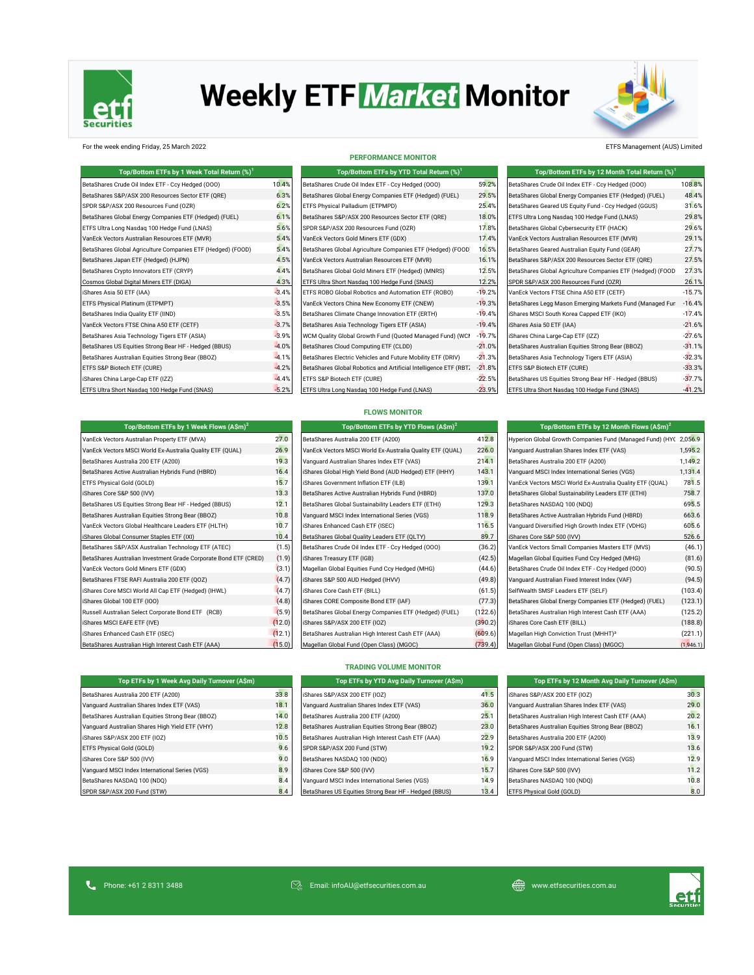

# **Weekly ETF Market Monitor**



## For the week ending Friday, 25 March 2022 ETFS Management (AUS) Limited

| Top/Bottom ETFs by 1 Week Total Return (%) <sup>1</sup>     |         | Top/Bottom ETFs by YTD Total Return (%) <sup>1</sup>             |          | Top/Bottom ETFs by 12 Month Total Return (%) <sup>1</sup>  |          |  |
|-------------------------------------------------------------|---------|------------------------------------------------------------------|----------|------------------------------------------------------------|----------|--|
| BetaShares Crude Oil Index ETF - Ccy Hedged (000)           | 10.4%   | BetaShares Crude Oil Index ETF - Ccy Hedged (000)                | 59.2%    | BetaShares Crude Oil Index ETF - Ccy Hedged (000)          | 108.8%   |  |
| BetaShares S&P/ASX 200 Resources Sector ETF (QRE)           | 6.3%    | BetaShares Global Energy Companies ETF (Hedged) (FUEL)           | 29.5%    | BetaShares Global Energy Companies ETF (Hedged) (FUEL)     | 48.4%    |  |
| SPDR S&P/ASX 200 Resources Fund (OZR)                       | 6.2%    | ETFS Physical Palladium (ETPMPD)                                 | 25.4%    | BetaShares Geared US Equity Fund - Ccy Hedged (GGUS)       | 31.6%    |  |
| BetaShares Global Energy Companies ETF (Hedged) (FUEL)      | 6.1%    | BetaShares S&P/ASX 200 Resources Sector ETF (QRE)                | 18.0%    | ETFS Ultra Long Nasdaq 100 Hedge Fund (LNAS)               | 29.8%    |  |
| ETFS Ultra Long Nasdag 100 Hedge Fund (LNAS)                | 5.6%    | SPDR S&P/ASX 200 Resources Fund (OZR)                            | 17.8%    | BetaShares Global Cybersecurity ETF (HACK)                 | 29.6%    |  |
| VanEck Vectors Australian Resources ETF (MVR)               | 5.4%    | VanEck Vectors Gold Miners ETF (GDX)                             | 17.4%    | VanEck Vectors Australian Resources ETF (MVR)              | 29.1%    |  |
| BetaShares Global Agriculture Companies ETF (Hedged) (FOOD) | 5.4%    | BetaShares Global Agriculture Companies ETF (Hedged) (FOOD       | 16.5%    | BetaShares Geared Australian Equity Fund (GEAR)            | 27.7%    |  |
| BetaShares Japan ETF (Hedged) (HJPN)                        | 4.5%    | VanEck Vectors Australian Resources ETF (MVR)                    | 16.1%    | BetaShares S&P/ASX 200 Resources Sector ETF (QRE)          | 27.5%    |  |
| BetaShares Crypto Innovators ETF (CRYP)                     | 4.4%    | BetaShares Global Gold Miners ETF (Hedged) (MNRS)                | 12.5%    | BetaShares Global Agriculture Companies ETF (Hedged) (FOOD | 27.3%    |  |
| Cosmos Global Digital Miners ETF (DIGA)                     | 4.3%    | ETFS Ultra Short Nasdaq 100 Hedge Fund (SNAS)                    | 12.2%    | SPDR S&P/ASX 200 Resources Fund (OZR)                      | 26.1%    |  |
| iShares Asia 50 ETF (IAA)                                   | $-3.4%$ | ETFS ROBO Global Robotics and Automation ETF (ROBO)              | $-19.2%$ | VanEck Vectors FTSE China A50 ETF (CETF)                   | $-15.7%$ |  |
| ETFS Physical Platinum (ETPMPT)                             | $-3.5%$ | VanEck Vectors China New Economy ETF (CNEW)                      | $-19.3%$ | BetaShares Legg Mason Emerging Markets Fund (Managed Fun   | $-16.4%$ |  |
| BetaShares India Quality ETF (IIND)                         | $-3.5%$ | BetaShares Climate Change Innovation ETF (ERTH)                  | $-19.4%$ | iShares MSCI South Korea Capped ETF (IKO)                  | $-17.4%$ |  |
| VanEck Vectors FTSE China A50 ETF (CETF)                    | $-3.7%$ | BetaShares Asia Technology Tigers ETF (ASIA)                     | $-19.4%$ | iShares Asia 50 ETF (IAA)                                  | $-21.6%$ |  |
| BetaShares Asia Technology Tigers ETF (ASIA)                | $-3.9%$ | WCM Quality Global Growth Fund (Quoted Managed Fund) (WCI        | $-19.7%$ | iShares China Large-Cap ETF (IZZ)                          | $-27.6%$ |  |
| BetaShares US Equities Strong Bear HF - Hedged (BBUS)       | $-4.0%$ | BetaShares Cloud Computing ETF (CLDD)                            | $-21.0%$ | BetaShares Australian Equities Strong Bear (BBOZ)          | $-31.1%$ |  |
| BetaShares Australian Equities Strong Bear (BBOZ)           | $-4.1%$ | BetaShares Electric Vehicles and Future Mobility ETF (DRIV)      | $-21.3%$ | BetaShares Asia Technology Tigers ETF (ASIA)               | $-32.3%$ |  |
| ETFS S&P Biotech ETF (CURE)                                 | $-4.2%$ | BetaShares Global Robotics and Artificial Intelligence ETF (RBT. | $-21.8%$ | ETFS S&P Biotech ETF (CURE)                                | $-33.3%$ |  |
| iShares China Large-Cap ETF (IZZ)                           | $-4.4%$ | ETFS S&P Biotech ETF (CURE)                                      | $-22.5%$ | BetaShares US Equities Strong Bear HF - Hedged (BBUS)      | $-37.7%$ |  |
| ETFS Ultra Short Nasdaq 100 Hedge Fund (SNAS)               | $-5.2%$ | ETFS Ultra Long Nasdaq 100 Hedge Fund (LNAS)                     | $-23.9%$ | ETFS Ultra Short Nasdaq 100 Hedge Fund (SNAS)              | $-41.2%$ |  |

| Top/Bottom ETFs by YTD Total Return (%) <sup>1</sup>             |                 |
|------------------------------------------------------------------|-----------------|
| BetaShares Crude Oil Index ETF - Ccy Hedged (000)                | 59.2            |
| BetaShares Global Energy Companies ETF (Hedged) (FUEL)           | 29.5            |
| ETFS Physical Palladium (ETPMPD)                                 | 25.4            |
| BetaShares S&P/ASX 200 Resources Sector ETF (QRE)                | 18.0            |
| SPDR S&P/ASX 200 Resources Fund (OZR)                            | 17.8            |
| VanEck Vectors Gold Miners ETF (GDX)                             | 17 <sub>4</sub> |
| BetaShares Global Agriculture Companies ETF (Hedged) (FOOD       | 16.5            |
| VanEck Vectors Australian Resources ETF (MVR)                    | 16.1            |
| BetaShares Global Gold Miners ETF (Hedged) (MNRS)                | 12.5            |
| ETFS Ultra Short Nasdag 100 Hedge Fund (SNAS)                    | 12.2            |
| ETFS ROBO Global Robotics and Automation ETF (ROBO)              | $-19.2$         |
| VanEck Vectors China New Economy ETF (CNEW)                      | $-19.3$         |
| BetaShares Climate Change Innovation ETF (ERTH)                  | $-19.4$         |
| BetaShares Asia Technology Tigers ETF (ASIA)                     | $-19.4$         |
| WCM Quality Global Growth Fund (Quoted Managed Fund) (WCI        | $-19.7$         |
| BetaShares Cloud Computing ETF (CLDD)                            | $-21.0$         |
| BetaShares Electric Vehicles and Future Mobility ETF (DRIV)      | $-21.3$         |
| BetaShares Global Robotics and Artificial Intelligence ETF (RBT. | $-21.8$         |
| ETFS S&P Biotech ETF (CURE)                                      | $-22.5$         |
| ETFS Ultra Long Nasdag 100 Hedge Fund (LNAS)                     | $-23.9$         |

**PERFORMANCE MONITOR**

| Top/Bottom ETFs by 12 Month Total Return (%) <sup>1</sup>  |          |
|------------------------------------------------------------|----------|
| BetaShares Crude Oil Index ETF - Ccv Hedged (000)          | 108.8%   |
| BetaShares Global Energy Companies ETF (Hedged) (FUEL)     | 48.4%    |
| BetaShares Geared US Equity Fund - Ccy Hedged (GGUS)       | 31.6%    |
| ETFS Ultra Long Nasdag 100 Hedge Fund (LNAS)               | 29.8%    |
| BetaShares Global Cybersecurity ETF (HACK)                 | 29.6%    |
| VanEck Vectors Australian Resources ETF (MVR)              | 29.1%    |
| BetaShares Geared Australian Equity Fund (GEAR)            | 27.7%    |
| BetaShares S&P/ASX 200 Resources Sector ETF (ORE)          | 27.5%    |
| BetaShares Global Agriculture Companies ETF (Hedged) (FOOD | 27.3%    |
| SPDR S&P/ASX 200 Resources Fund (OZR)                      | 26.1%    |
| VanEck Vectors FTSE China A50 ETF (CETF)                   | $-15.7%$ |
| BetaShares Legg Mason Emerging Markets Fund (Managed Fun   | $-16.4%$ |
| iShares MSCI South Korea Capped ETF (IKO)                  | $-17.4%$ |
| iShares Asia 50 ETF (IAA)                                  | $-21.6%$ |
| iShares China Large-Cap ETF (IZZ)                          | $-27.6%$ |
| BetaShares Australian Equities Strong Bear (BBOZ)          | $-31.1%$ |
| BetaShares Asia Technology Tigers ETF (ASIA)               | $-32.3%$ |
| ETFS S&P Biotech ETF (CURE)                                | $-33.3%$ |
| BetaShares US Equities Strong Bear HF - Hedged (BBUS)      | $-37.7%$ |
| ETFS Ultra Short Nasdag 100 Hedge Fund (SNAS)              | $-41.2%$ |

# **FLOWS MONITOR Top/Bottom ETFs by YTD Flows (A\$m)<sup>2</sup>**

| Top/Bottom ETFs by 1 Week Flows (A\$m) <sup>2</sup>              |        | Top/Bottom ETFs by YTD Flows (A\$m) <sup>2</sup>          |         | Top/Bottom ETFs by 12 Month Flows $(A\sin)^2$                     |           |  |
|------------------------------------------------------------------|--------|-----------------------------------------------------------|---------|-------------------------------------------------------------------|-----------|--|
| VanEck Vectors Australian Property ETF (MVA)                     | 27.0   | BetaShares Australia 200 ETF (A200)                       | 412.8   | Hyperion Global Growth Companies Fund (Managed Fund) (HYC 2,056.9 |           |  |
| VanEck Vectors MSCI World Ex-Australia Quality ETF (QUAL)        | 26.9   | VanEck Vectors MSCI World Ex-Australia Quality ETF (QUAL) | 226.0   | Vanquard Australian Shares Index ETF (VAS)                        | 1,595.2   |  |
| BetaShares Australia 200 ETF (A200)                              | 19.3   | Vanquard Australian Shares Index ETF (VAS)                | 214.1   | BetaShares Australia 200 ETF (A200)                               | 1,149.2   |  |
| BetaShares Active Australian Hybrids Fund (HBRD)                 | 16.4   | iShares Global High Yield Bond (AUD Hedged) ETF (IHHY)    | 143.1   | Vanguard MSCI Index International Series (VGS)                    | 1,131.4   |  |
| ETFS Physical Gold (GOLD)                                        | 15.7   | iShares Government Inflation ETF (ILB)                    | 139.1   | VanEck Vectors MSCI World Ex-Australia Quality ETF (QUAL)         | 781.5     |  |
| iShares Core S&P 500 (IVV)                                       | 13.3   | BetaShares Active Australian Hybrids Fund (HBRD)          | 137.0   | BetaShares Global Sustainability Leaders ETF (ETHI)               | 758.7     |  |
| BetaShares US Equities Strong Bear HF - Hedged (BBUS)            | 12.1   | BetaShares Global Sustainability Leaders ETF (ETHI)       | 129.3   | BetaShares NASDAQ 100 (NDQ)                                       | 695.5     |  |
| BetaShares Australian Equities Strong Bear (BBOZ)                | 10.8   | Vanquard MSCI Index International Series (VGS)            | 118.9   | BetaShares Active Australian Hybrids Fund (HBRD)                  | 663.6     |  |
| VanEck Vectors Global Healthcare Leaders ETF (HLTH)              | 10.7   | iShares Enhanced Cash ETF (ISEC)                          | 116.5   | Vanguard Diversified High Growth Index ETF (VDHG)                 | 605.6     |  |
| IShares Global Consumer Staples ETF (IXI)                        | 10.4   | BetaShares Global Quality Leaders ETF (QLTY)              | 89.7    | iShares Core S&P 500 (IVV)                                        | 526.6     |  |
| BetaShares S&P/ASX Australian Technology ETF (ATEC)              | (1.5)  | BetaShares Crude Oil Index ETF - Ccy Hedged (000)         | (36.2)  | VanEck Vectors Small Companies Masters ETF (MVS)                  | (46.1)    |  |
| BetaShares Australian Investment Grade Corporate Bond ETF (CRED) | (1.9)  | iShares Treasury ETF (IGB)                                | (42.5)  | Magellan Global Equities Fund Ccy Hedged (MHG)                    | (81.6)    |  |
| VanEck Vectors Gold Miners ETF (GDX)                             | (3.1)  | Magellan Global Equities Fund Ccy Hedged (MHG)            | (44.6)  | BetaShares Crude Oil Index ETF - Ccy Hedged (000)                 | (90.5)    |  |
| BetaShares FTSE RAFI Australia 200 ETF (QOZ)                     | (4.7)  | iShares S&P 500 AUD Hedged (IHVV)                         | (49.8)  | Vanquard Australian Fixed Interest Index (VAF)                    | (94.5)    |  |
| iShares Core MSCI World All Cap ETF (Hedged) (IHWL)              | (4.7)  | iShares Core Cash ETF (BILL)                              | (61.5)  | SelfWealth SMSF Leaders ETF (SELF)                                | (103.4)   |  |
| iShares Global 100 ETF (IOO)                                     | (4.8)  | iShares CORE Composite Bond ETF (IAF)                     | (77.3)  | BetaShares Global Energy Companies ETF (Hedged) (FUEL)            | (123.1)   |  |
| Russell Australian Select Corporate Bond ETF (RCB)               | (5.9)  | BetaShares Global Energy Companies ETF (Hedged) (FUEL)    | (122.6) | BetaShares Australian High Interest Cash ETF (AAA)                | (125.2)   |  |
| iShares MSCI EAFE ETF (IVE)                                      | (12.0) | iShares S&P/ASX 200 ETF (IOZ)                             | (390.2) | iShares Core Cash ETF (BILL)                                      | (188.8)   |  |
| iShares Enhanced Cash ETF (ISEC)                                 | (12.1) | BetaShares Australian High Interest Cash ETF (AAA)        | (609.6) | Magellan High Conviction Trust (MHHT) <sup>3</sup>                | (221.1)   |  |
| BetaShares Australian High Interest Cash ETF (AAA)               | (15.0) | Magellan Global Fund (Open Class) (MGOC)                  | (739.4) | Magellan Global Fund (Open Class) (MGOC)                          | (1,946.1) |  |

| VanEck Vectors MSCI World Ex-Australia Quality ETF (QUAL) | 226.0   |
|-----------------------------------------------------------|---------|
| Vanquard Australian Shares Index ETF (VAS)                | 214.1   |
| iShares Global High Yield Bond (AUD Hedged) ETF (IHHY)    | 143.1   |
| iShares Government Inflation ETF (ILB)                    | 139.1   |
| BetaShares Active Australian Hybrids Fund (HBRD)          | 137.0   |
| BetaShares Global Sustainability Leaders ETF (ETHI)       | 129.3   |
| Vanquard MSCI Index International Series (VGS)            | 118.9   |
| iShares Enhanced Cash ETF (ISEC)                          | 116.5   |
| BetaShares Global Quality Leaders ETF (QLTY)              | 89.7    |
| BetaShares Crude Oil Index ETF - Ccy Hedged (000)         | (36.2)  |
| iShares Treasury ETF (IGB)                                | (42.5)  |
| Magellan Global Equities Fund Ccy Hedged (MHG)            | (44.6)  |
| iShares S&P 500 AUD Hedged (IHVV)                         | (49.8)  |
| iShares Core Cash ETF (BILL)                              | (61.5)  |
| iShares CORE Composite Bond ETF (IAF)                     | (77.3)  |
| BetaShares Global Energy Companies ETF (Hedged) (FUEL)    | (122.6) |
| iShares S&P/ASX 200 ETF (IOZ)                             | (390.2) |
| BetaShares Australian High Interest Cash ETF (AAA)        | (609.6) |
| Magellan Global Fund (Open Class) (MGOC)                  | (739.4) |

| Top/Bottom ETFs by 12 Month Flows (A\$m) <sup>2</sup>             |         |
|-------------------------------------------------------------------|---------|
| Hyperion Global Growth Companies Fund (Managed Fund) (HYC 2,056.9 |         |
| Vanquard Australian Shares Index ETF (VAS)                        | 1,595.2 |
| BetaShares Australia 200 ETF (A200)                               | 1,149.2 |
| Vanguard MSCI Index International Series (VGS)                    | 1,131.4 |
| VanEck Vectors MSCI World Ex-Australia Quality ETF (QUAL)         | 781.5   |
| BetaShares Global Sustainability Leaders ETF (ETHI)               | 758.7   |
| BetaShares NASDAQ 100 (NDQ)                                       | 695.5   |
| BetaShares Active Australian Hybrids Fund (HBRD)                  | 663.6   |
| Vanguard Diversified High Growth Index ETF (VDHG)                 | 605.6   |
| iShares Core S&P 500 (IVV)                                        | 526.6   |
| VanEck Vectors Small Companies Masters ETF (MVS)                  | (46.1)  |
| Magellan Global Equities Fund Ccy Hedged (MHG)                    | (81.6)  |
| BetaShares Crude Oil Index ETF - Ccy Hedged (000)                 | (90.5)  |
| Vanquard Australian Fixed Interest Index (VAF)                    | (94.5)  |
| SelfWealth SMSF Leaders ETF (SELF)                                | (103.4) |
| BetaShares Global Energy Companies ETF (Hedged) (FUEL)            | (123.1) |
| BetaShares Australian High Interest Cash ETF (AAA)                | (125.2) |
| iShares Core Cash ETF (BILL)                                      | (188.8) |
| Magellan High Conviction Trust (MHHT) <sup>3</sup>                | (221.1) |
|                                                                   |         |

# **TRADING VOLUME MONITOR**

| Top ETFs by 1 Week Avg Daily Turnover (A\$m)      |      | Top ETFs by YTD Avg Daily Turnover (A\$m)             |      | Top ETFs by 12 Month Avg Daily Turnover (A\$m)     |      |
|---------------------------------------------------|------|-------------------------------------------------------|------|----------------------------------------------------|------|
| BetaShares Australia 200 ETF (A200)               | 33.8 | iShares S&P/ASX 200 ETF (IOZ)                         | 41.5 | iShares S&P/ASX 200 ETF (IOZ)                      | 30.3 |
| Vanquard Australian Shares Index ETF (VAS)        | 18.1 | Vanquard Australian Shares Index ETF (VAS)            | 36.0 | Vanquard Australian Shares Index ETF (VAS)         | 29.0 |
| BetaShares Australian Equities Strong Bear (BBOZ) | 14.0 | BetaShares Australia 200 ETF (A200)                   | 25.1 | BetaShares Australian High Interest Cash ETF (AAA) | 20.2 |
| Vanquard Australian Shares High Yield ETF (VHY)   | 12.8 | BetaShares Australian Equities Strong Bear (BBOZ)     | 23.0 | BetaShares Australian Equities Strong Bear (BBOZ)  | 16.1 |
| Shares S&P/ASX 200 ETF (IOZ)                      | 10.5 | BetaShares Australian High Interest Cash ETF (AAA)    | 22.9 | BetaShares Australia 200 ETF (A200)                | 13.9 |
| ETFS Physical Gold (GOLD)                         | 9.6  | SPDR S&P/ASX 200 Fund (STW)                           | 19.2 | SPDR S&P/ASX 200 Fund (STW)                        | 13.6 |
| Shares Core S&P 500 (IVV)                         | 9.0  | BetaShares NASDAQ 100 (NDQ)                           | 16.9 | Vanquard MSCI Index International Series (VGS)     | 12.9 |
| Vanquard MSCI Index International Series (VGS)    | 8.9  | iShares Core S&P 500 (IVV)                            | 15.7 | iShares Core S&P 500 (IVV)                         | 11.2 |
| BetaShares NASDAQ 100 (NDQ)                       | 8.4  | Vanquard MSCI Index International Series (VGS)        | 14.9 | BetaShares NASDAQ 100 (NDQ)                        | 10.8 |
| SPDR S&P/ASX 200 Fund (STW)                       | 8.4  | BetaShares US Equities Strong Bear HF - Hedged (BBUS) | 13.4 | ETFS Physical Gold (GOLD)                          | 8.0  |

| BetaShares Australia 200 ETF (A200)               | 3  |
|---------------------------------------------------|----|
| Vanquard Australian Shares Index ETF (VAS)        | 1  |
| BetaShares Australian Equities Strong Bear (BBOZ) | 1. |
| Vanguard Australian Shares High Yield ETF (VHY)   | 1  |
| iShares S&P/ASX 200 ETF (IOZ)                     | 1  |
| ETFS Physical Gold (GOLD)                         |    |
| iShares Core S&P 500 (IVV)                        |    |
| Vanquard MSCI Index International Series (VGS)    |    |
| BetaShares NASDAQ 100 (NDQ)                       |    |
| SPDR S&P/ASX 200 Fund (STW)                       |    |

**Top ETFs by 1 Week Avg Daily Turnover (A\$m) Top ETFs by 12 Month Avg Daily Turnover (A\$m)**